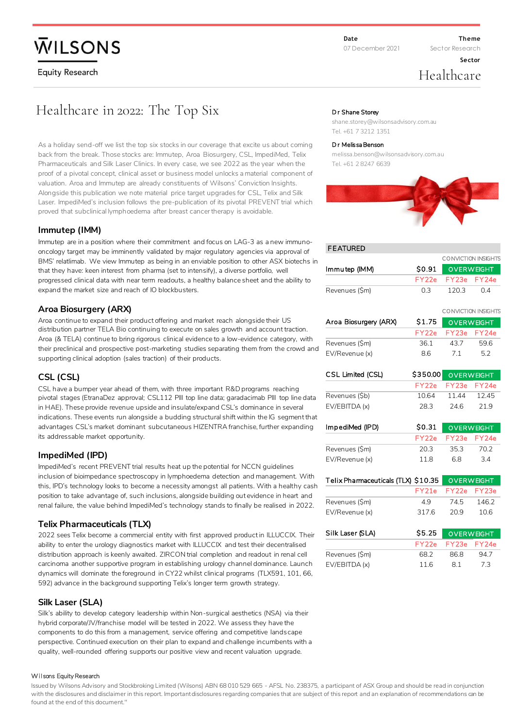# **WILSONS**

**Equity Research** 

**Theme**

**Sector**

Sector Research

## Healthcare

## Healthcare in 2022: The Top Six

As a holiday send-off we list the top six stocks in our coverage that excite us about coming back from the break. Those stocks are: Immutep, Aroa Biosurgery, CSL, ImpediMed, Telix Pharmaceuticals and Silk Laser Clinics. In every case, we see 2022 as the year when the proof of a pivotal concept, clinical asset or business model unlocks a material component of valuation. Aroa and Immutep are already constituents of Wilsons' Conviction Insights. Alongside this publication we note material price target upgrades for CSL, Telix and Silk Laser. ImpediMed's inclusion follows the pre-publication of its pivotal PREVENT trial which proved that subclinical lymphoedema after breast cancer therapy is avoidable.

## **Immutep (IMM)**

Immutep are in a position where their commitment and focus on LAG-3 as a new immunooncology target may be imminently validated by major regulatory agencies via approval of BMS' relatlimab. We view Immutep as being in an enviable position to other ASX biotechs in that they have: keen interest from pharma (set to intensify), a diverse portfolio, well progressed clinical data with near term readouts, a healthy balance sheet and the ability to expand the market size and reach of IO blockbusters.

## **Aroa Biosurgery (ARX)**

Aroa continue to expand their product offering and market reach alongside their US distribution partner TELA Bio continuing to execute on sales growth and account traction. Aroa (& TELA) continue to bring rigorous clinical evidence to a low-evidence category, with their preclinical and prospective post-marketing studies separating them from the crowd and supporting clinical adoption (sales traction) of their products.

## **CSL (CSL)**

CSL have a bumper year ahead of them, with three important R&D programs reaching pivotal stages (EtranaDez approval; CSL112 PIII top line data; garadacimab PIII top line data in HAE). These provide revenue upside and insulate/expand CSL's dominance in several indications. These events run alongside a budding structural shift within the IG segment that advantages CSL's market dominant subcutaneous HIZENTRA franchise, further expanding its addressable market opportunity.

## **ImpediMed (IPD)**

ImpediMed's recent PREVENT trial results heat up the potential for NCCN guidelines inclusion of bioimpedance spectroscopy in lymphoedema detection and management. With this, IPD's technology looks to become a necessity amongst all patients. With a healthy cash position to take advantage of, such inclusions, alongside building out evidence in heart and renal failure, the value behind ImpediMed's technology stands to finally be realised in 2022.

## **Telix Pharmaceuticals (TLX)**

2022 sees Telix become a commercial entity with first approved product in ILLUCCIX. Their ability to enter the urology diagnostics market with ILLUCCIX and test their decentralised distribution approach is keenly awaited. ZIRCON trial completion and readout in renal cell carcinoma another supportive program in establishing urology channel dominance. Launch dynamics will dominate the foreground in CY22 whilst clinical programs (TLX591, 101, 66, 592) advance in the background supporting Telix's longer term growth strategy.

## **Silk Laser (SLA)**

Silk's ability to develop category leadership within Non-surgical aesthetics (NSA) via their hybrid corporate/JV/franchise model will be tested in 2022. We assess they have the components to do this from a management, service offering and competitive landscape perspective. Continued execution on their plan to expand and challenge incumbents with a quality, well-rounded offering supports our positive view and recent valuation upgrade.

### Wilsons Equity Research

Issued by Wilsons Advisory and Stockbroking Limited (Wilsons) ABN 68 010 529 665 - AFSL No. 238375, a participant of ASX Group and should be read in conjunction with the disclosures and disclaimer in this report. Important disclosures regarding companies that are subject of this report and an explanation of recommendations can be found at the end of this document."

### Dr Shane Storey

shane.storey@wilsonsadvisory.com.au Tel. +61 7 3212 1351

### Dr Melissa Benson

melissa.benson@wilsonsadvisory.com.au Tel. +61 2 8247 6639



### **FEATURED**

|                |       | <b>CONVICTION INSIGHTS</b> |    |  |  |  |
|----------------|-------|----------------------------|----|--|--|--|
| lmmutep (IMM)  |       | \$0.91 OVERWEIGHT          |    |  |  |  |
|                |       | FY22e FY23e FY24e          |    |  |  |  |
| Revenues (\$m) | 0.3 L | 120.3                      | 04 |  |  |  |

|                       |                   |             | CONVICTION INSIGHTS |
|-----------------------|-------------------|-------------|---------------------|
| Aroa Biosurgery (ARX) | S <sub>1.75</sub> |             | <b>OVERWEIGHT</b>   |
|                       | FY <sub>22e</sub> | FY23e FY24e |                     |
| Revenues (\$m)        | 361               | 43.7        | 596                 |
| EV/Revenue (x)        | 86                | 71          | 52                  |

| CSL Limited (CSL) | \$350.00          | OVERWEIGHT        |                   |
|-------------------|-------------------|-------------------|-------------------|
|                   | FY <sub>22e</sub> | FY <sub>23e</sub> | FY <sub>24e</sub> |
| Revenues (\$b)    | 10.64             | 11.44             | 12.45             |
| EV/EBITDA (x)     | 28.3              | 246               | 219               |
| ImpediMed (IPD)   | \$0.31            | <b>OVERWEIGHT</b> |                   |
|                   | FY22e             |                   | FY23e FY24e       |
| Revenues (\$m)    | 20.3              | 35.3              | 70.2              |

| EV/Revenue (x)                      | 118   | 68              | 34                |
|-------------------------------------|-------|-----------------|-------------------|
| Telix Pharmaceuticals (TLX) \$10.35 |       |                 | <b>OVERWEIGHT</b> |
|                                     | FY21e | - FY22e - FY23e |                   |
| Revenues (\$m)                      | 49    | 745             | 1462              |
| EV/Revenue (x)                      | 3176  | 20.9            | 10 6              |

| Silk Laser (SLA) | S5.25 | <b>OVERWEIGHT</b> |     |  |
|------------------|-------|-------------------|-----|--|
|                  | EY22e | FY23e FY24e       |     |  |
| Revenues (\$m)   | 68.2  | 86.8              | 947 |  |
| EV/EBITDA (x)    | 116   | 81                | 73  |  |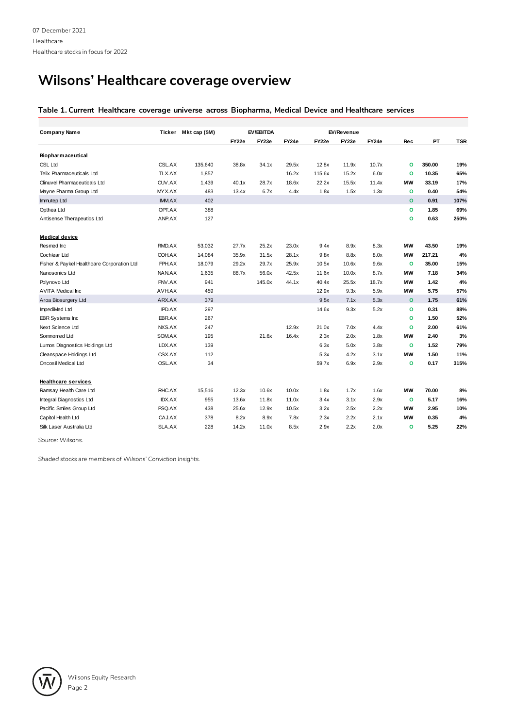## **Wilsons' Healthcare coverage overview**

## **Table 1. Current Healthcare coverage universe across Biopharma, Medical Device and Healthcare services**

| Company Name                               |               | Ticker Mktcap (\$M) |       | EV/EBITDA |       |        | EV/Revenue |       |              |        |            |
|--------------------------------------------|---------------|---------------------|-------|-----------|-------|--------|------------|-------|--------------|--------|------------|
|                                            |               |                     | FY22e | FY23e     | FY24e | FY22e  | FY23e      | FY24e | <b>Rec</b>   | PT     | <b>TSR</b> |
|                                            |               |                     |       |           |       |        |            |       |              |        |            |
| <b>Biopharmaceutical</b>                   |               |                     |       |           |       |        |            |       |              |        |            |
| <b>CSL Ltd</b>                             | CSL.AX        | 135,640             | 38.8x | 34.1x     | 29.5x | 12.8x  | 11.9x      | 10.7x | $\circ$      | 350.00 | 19%        |
| <b>Telix Pharmaceuticals Ltd</b>           | TLX.AX        | 1,857               |       |           | 16.2x | 115.6x | 15.2x      | 6.0x  | $\circ$      | 10.35  | 65%        |
| <b>Clinuvel Pharmaceuticals Ltd</b>        | CUV.AX        | 1,439               | 40.1x | 28.7x     | 18.6x | 22.2x  | 15.5x      | 11.4x | <b>MW</b>    | 33.19  | 17%        |
| Mayne Pharma Group Ltd                     | MYX.AX        | 483                 | 13.4x | 6.7x      | 4.4x  | 1.8x   | 1.5x       | 1.3x  | $\circ$      | 0.40   | 54%        |
| Immutep Ltd                                | <b>IMM.AX</b> | 402                 |       |           |       |        |            |       | $\circ$      | 0.91   | 107%       |
| Opthea Ltd                                 | OPT.AX        | 388                 |       |           |       |        |            |       | $\circ$      | 1.85   | 69%        |
| Antisense Therapeutics Ltd                 | ANP.AX        | 127                 |       |           |       |        |            |       | $\circ$      | 0.63   | 250%       |
| <b>Medical device</b>                      |               |                     |       |           |       |        |            |       |              |        |            |
| Resmed Inc                                 | RMD.AX        | 53,032              | 27.7x | 25.2x     | 23.0x | 9.4x   | 8.9x       | 8.3x  | <b>MW</b>    | 43.50  | 19%        |
| Cochlear Ltd                               | COH.AX        | 14,084              | 35.9x | 31.5x     | 28.1x | 9.8x   | 8.8x       | 8.0x  | <b>MW</b>    | 217.21 | 4%         |
| Fisher & Paykel Healthcare Corporation Ltd | FPH.AX        | 18,079              | 29.2x | 29.7x     | 25.9x | 10.5x  | 10.6x      | 9.6x  | $\circ$      | 35.00  | 15%        |
| Nanosonics Ltd                             | NAN.AX        | 1,635               | 88.7x | 56.0x     | 42.5x | 11.6x  | 10.0x      | 8.7x  | МW           | 7.18   | 34%        |
| Polynovo Ltd                               | PNV.AX        | 941                 |       | 145.0x    | 44.1x | 40.4x  | 25.5x      | 18.7x | МW           | 1.42   | 4%         |
| <b>AVITA Medical Inc</b>                   | AVH.AX        | 459                 |       |           |       | 12.9x  | 9.3x       | 5.9x  | <b>MW</b>    | 5.75   | 57%        |
| Aroa Biosurgery Ltd                        | ARX.AX        | 379                 |       |           |       | 9.5x   | 7.1x       | 5.3x  | $\circ$      | 1.75   | 61%        |
| ImpediMed Ltd                              | IPD.AX        | 297                 |       |           |       | 14.6x  | 9.3x       | 5.2x  | $\mathbf{o}$ | 0.31   | 88%        |
| EBR Systems Inc                            | EBR.AX        | 267                 |       |           |       |        |            |       | $\circ$      | 1.50   | 52%        |
| Next Science Ltd                           | NXS.AX        | 247                 |       |           | 12.9x | 21.0x  | 7.0x       | 4.4x  | $\circ$      | 2.00   | 61%        |
| Somnomed Ltd                               | SOM.AX        | 195                 |       | 21.6x     | 16.4x | 2.3x   | 2.0x       | 1.8x  | МW           | 2.40   | 3%         |
| Lumos Diagnostics Holdings Ltd             | LDX.AX        | 139                 |       |           |       | 6.3x   | 5.0x       | 3.8x  | $\circ$      | 1.52   | 79%        |
| Cleanspace Holdings Ltd                    | CSX.AX        | 112                 |       |           |       | 5.3x   | 4.2x       | 3.1x  | МW           | 1.50   | 11%        |
| Oncosil Medical Ltd                        | OSL.AX        | 34                  |       |           |       | 59.7x  | 6.9x       | 2.9x  | $\circ$      | 0.17   | 315%       |
| <b>Healthcare services</b>                 |               |                     |       |           |       |        |            |       |              |        |            |
| Ramsay Health Care Ltd                     | RHC.AX        | 15,516              | 12.3x | 10.6x     | 10.0x | 1.8x   | 1.7x       | 1.6x  | <b>MW</b>    | 70.00  | 8%         |
| Integral Diagnostics Ltd                   | <b>IDX.AX</b> | 955                 | 13.6x | 11.8x     | 11.0x | 3.4x   | 3.1x       | 2.9x  | $\circ$      | 5.17   | 16%        |
| Pacific Smiles Group Ltd                   | PSQ.AX        | 438                 | 25.6x | 12.9x     | 10.5x | 3.2x   | 2.5x       | 2.2x  | МW           | 2.95   | 10%        |
| Capitol Health Ltd                         | CAJ.AX        | 378                 | 8.2x  | 8.9x      | 7.8x  | 2.3x   | 2.2x       | 2.1x  | МW           | 0.35   | 4%         |
| Silk Laser Australia Ltd                   | SLA.AX        | 228                 | 14.2x | 11.0x     | 8.5x  | 2.9x   | 2.2x       | 2.0x  | $\circ$      | 5.25   | 22%        |

*Source: Wilsons.* 

*Shaded stocks are members of Wilsons' Conviction Insights.* 

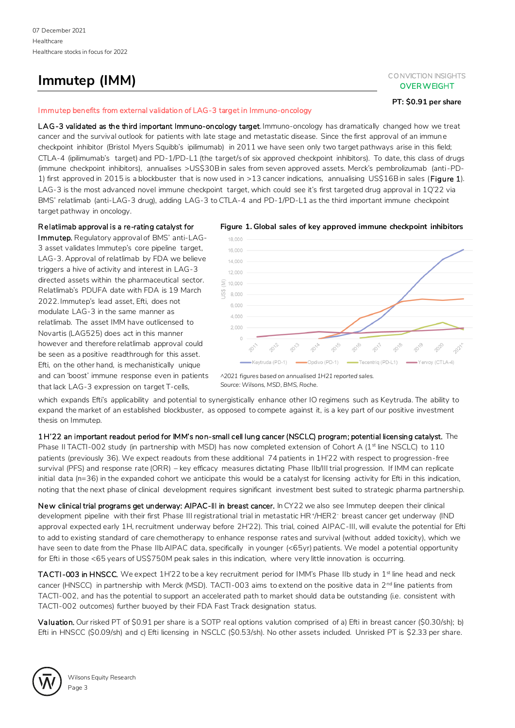## **Immutep (IMM)** CONVICTION INSIGHTS

## **OVER WEIGHT**

## **PT: \$0.91 per share**

### Immutep benefits from external validation of LAG-3 target in Immuno-oncology

LAG-3 validated as the third important Immuno-oncology target. Immuno-oncology has dramatically changed how we treat cancer and the survival outlook for patients with late stage and metastatic disease. Since the first approval of an immune checkpoint inhibitor (Bristol Myers Squibb's ipilimumab) in 2011 we have seen only two target pathways arise in this field; CTLA-4 (ipilimumab's target) and PD-1/PD-L1 (the target/s of six approved checkpoint inhibitors). To date, this class of drugs (immune checkpoint inhibitors), annualises >US\$30B in sales from seven approved assets. Merck's pembrolizumab (anti-PD-1) first approved in 2015 is a blockbuster that is now used in >13 cancer indications, annualising US\$16B in sales (Figure 1). LAG-3 is the most advanced novel immune checkpoint target, which could see it's first targeted drug approval in 1Q'22 via BMS' relatlimab (anti-LAG-3 drug), adding LAG-3 to CTLA-4 and PD-1/PD-L1 as the third important immune checkpoint target pathway in oncology.

## R elatlimab approval is a re-rating catalyst for

Immutep. Regulatory approval of BMS' anti-LAG-3 asset validates Immutep's core pipeline target, LAG-3. Approval of relatlimab by FDA we believe triggers a hive of activity and interest in LAG-3 directed assets within the pharmaceutical sector. Relatlimab's PDUFA date with FDA is 19 March 2022. Immutep's lead asset, Efti, does not modulate LAG-3 in the same manner as relatlimab. The asset IMM have outlicensed to Novartis (LAG525) does act in this manner however and therefore relatlimab approval could be seen as a positive readthrough for this asset. Efti, on the other hand, is mechanistically unique and can 'boost' immune response even in patients that lack LAG-3 expression on target T-cells,





*<sup>^2021</sup> figures based on annualised 1H21 reported sales. Source: Wilsons, MSD, BMS, Roche.* 

which expands Efti's applicability and potential to synergistically enhance other IO regimens such as Keytruda. The ability to expand the market of an established blockbuster, as opposed to compete against it, is a key part of our positive investment thesis on Immutep.

1 H'22 an important readout period for IMM's non-small cell lung cancer (NSCLC) program; potential licensing catalyst. The Phase II TACTI-002 study (in partnership with MSD) has now completed extension of Cohort A (1<sup>st</sup> line NSCLC) to 110 patients (previously 36). We expect readouts from these additional 74 patients in 1H'22 with respect to progression-free survival (PFS) and response rate (ORR) – key efficacy measures dictating Phase IIb/III trial progression. If IMM can replicate initial data (n=36) in the expanded cohort we anticipate this would be a catalyst for licensing activity for Efti in this indication, noting that the next phase of clinical development requires significant investment best suited to strategic pharma partnership.

New clinical trial programs get underway: AIPAC-III in breast cancer. In CY22 we also see Immutep deepen their clinical development pipeline with their first Phase III registrational trial in metastatic HR<sup>+</sup> /HER2- breast cancer get underway (IND approval expected early 1H, recruitment underway before 2H'22). This trial, coined AIPAC-III, will evalute the potential for Efti to add to existing standard of care chemotherapy to enhance response rates and survival (without added toxicity), which we have seen to date from the Phase IIb AIPAC data, specifically in younger (<65yr) patients. We model a potential opportunity for Efti in those <65 years of US\$750M peak sales in this indication, where very little innovation is occurring.

TACTI-003 in HNSCC. We expect 1H'22 to be a key recruitment period for IMM's Phase IIb study in 1<sup>st</sup> line head and neck cancer (HNSCC) in partnership with Merck (MSD). TACTI-003 aims to extend on the positive data in  $2^{nd}$  line patients from TACTI-002, and has the potential to support an accelerated path to market should data be outstanding (i.e. consistent with TACTI-002 outcomes) further buoyed by their FDA Fast Track designation status.

Valuation. Our risked PT of \$0.91 per share is a SOTP real options valution comprised of a) Efti in breast cancer (\$0.30/sh); b) Efti in HNSCC (\$0.09/sh) and c) Efti licensing in NSCLC (\$0.53/sh). No other assets included. Unrisked PT is \$2.33 per share.

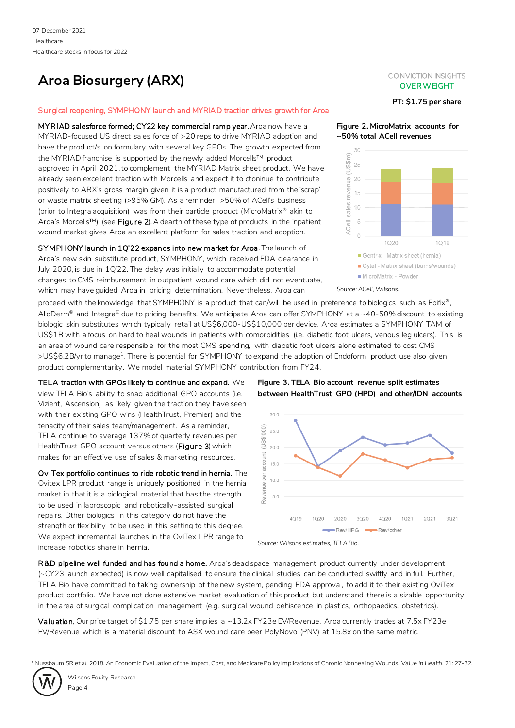## **Aroa Biosurgery (ARX)** CONVICTION INSIGHTS

## Surgical reopening, SYMPHONY launch and MYRIAD traction drives growth for Aroa

MYRIAD salesforce formed; CY22 key commercial ramp year. Aroa now have a MYRIAD-focused US direct sales force of >20 reps to drive MYRIAD adoption and have the product/s on formulary with several key GPOs. The growth expected from the MYRIAD franchise is supported by the newly added Morcells™ product approved in April 2021, to complement the MYRIAD Matrix sheet product. We have already seen excellent traction with Morcells and expect it to ctoninue to contribute positively to ARX's gross margin given it is a product manufactured from the 'scrap' or waste matrix sheeting (>95% GM). As a reminder, >50% of ACell's business (prior to Integra acquisition) was from their particle product (MicroMatrix® akin to Aroa's Morcells™) (see Figure 2). A dearth of these type of products in the inpatient wound market gives Aroa an excellent platform for sales traction and adoption.

SYMPHONY launch in 1Q'22 expands into new market for Aroa. The launch of Aroa's new skin substitute product, SYMPHONY, which received FDA clearance in July 2020, is due in 1Q'22. The delay was initially to accommodate potential changes to CMS reimbursement in outpatient wound care which did not eventuate, which may have guided Aroa in pricing determination. Nevertheless, Aroa can

proceed with the knowledge that SYMPHONY is a product that can/will be used in preference to biologics such as Epifix®, AlloDerm<sup>®</sup> and Integra<sup>®</sup> due to pricing benefits. We anticipate Aroa can offer SYMPHONY at a ~40-50% discount to existing biologic skin substitutes which typically retail at US\$6,000-US\$10,000 per device. Aroa estimates a SYMPHONY TAM of US\$1B with a focus on hard to heal wounds in patients with comorbidities (i.e. diabetic foot ulcers, venous leg ulcers). This is an area of wound care responsible for the most CMS spending, with diabetic foot ulcers alone estimated to cost CMS >US\$6.2B/yr to manage<sup>1</sup>. There is potential for SYMPHONY to expand the adoption of Endoform product use also given product complementarity. We model material SYMPHONY contribution from FY24.

TELA traction with GPOs likely to continue and expand. We view TELA Bio's ability to snag additional GPO accounts (i.e. Vizient, Ascension) as likely given the traction they have seen with their existing GPO wins (HealthTrust, Premier) and the tenacity of their sales team/management. As a reminder, TELA continue to average 137% of quarterly revenues per HealthTrust GPO account versus others (Figure 3) which makes for an effective use of sales & marketing resources.

Ov iTex portfolio continues to ride robotic trend in hernia. The Ovitex LPR product range is uniquely positioned in the hernia market in that it is a biological material that has the strength to be used in laproscopic and robotically-assisted surgical repairs. Other biologics in this category do not have the strength or flexibility to be used in this setting to this degree. We expect incremental launches in the OviTex LPR range to increase robotics share in hernia.

## **Figure 3. TELA Bio account revenue split estimates between HealthTrust GPO (HPD) and other/IDN accounts**



*Source: Wilsons estimates, TELA Bio.*

R&D pipeline well funded and has found a home. Aroa's dead space management product currently under development (~CY23 launch expected) is now well capitalised to ensure the clinical studies can be conducted swiftly and in full. Further, TELA Bio have committed to taking ownership of the new system, pending FDA approval, to add it to their existing OviTex product portfolio. We have not done extensive market evaluation of this product but understand there is a sizable opportunity in the area of surgical complication management (e.g. surgical wound dehiscence in plastics, orthopaedics, obstetrics).

Valuation. Our price target of \$1.75 per share implies a ~13.2x FY23e EV/Revenue. Aroa currently trades at 7.5x FY23e EV/Revenue which is a material discount to ASX wound care peer PolyNovo (PNV) at 15.8x on the same metric.

<sup>1</sup> Nussbaum SR *et al.* 2018. An Economic Evaluation of the Impact, Cost, and Medicare Policy Implications of Chronic Nonhealing Wounds. *Value in Health*. 21: 27-32.

Wilsons Equity Research Page 4

## **OVER WEIGHT**

**PT: \$1.75 per share**

**Figure 2. MicroMatrix accounts for ~50% total ACell revenues**



*Source: ACell, Wilsons.*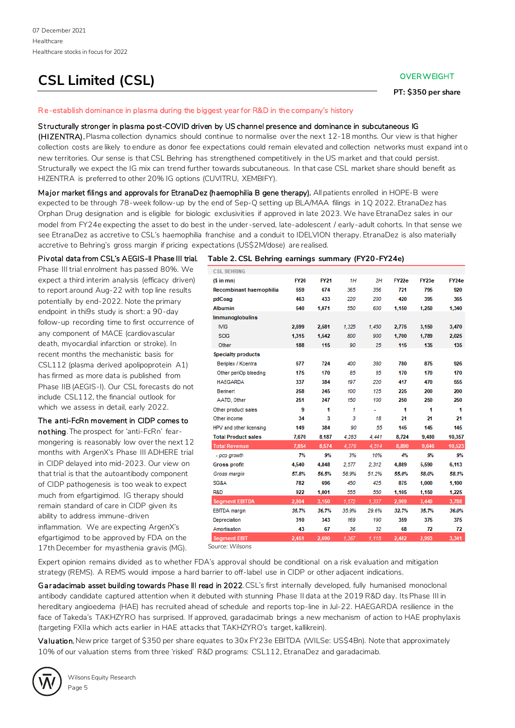## **CSL Limited (CSL) CSL OVER WEIGHT**

**PT: \$350 per share**

### R e-establish dominance in plasma during the biggest year for R&D in the company's history

## Structurally stronger in plasma post-COVID driven by US channel presence and dominance in subcutaneous IG

(HIZENTRA). Plasma collection dynamics should continue to normalise over the next 12-18 months. Our view is that higher collection costs are likely to endure as donor fee expectations could remain elevated and collection networks must expand int o new territories. Our sense is that CSL Behring has strengthened competitively in the US market and that could persist. Structurally we expect the IG mix can trend further towards subcutaneous. In that case CSL market share should benefit as HIZENTRA is preferred to other 20% IG options (CUVITRU, XEMBIFY).

Major market filings and approvals for EtranaDez (haemophilia B gene therapy). All patients enrolled in HOPE-B were expected to be through 78-week follow-up by the end of Sep-Q setting up BLA/MAA filings in 1Q 2022. EtranaDez has Orphan Drug designation and is eligible for biologic exclusivities if approved in late 2023. We have EtranaDez sales in our model from FY24e expecting the asset to do best in the under-served, late-adolescent / early-adult cohorts. In that sense we see EtranaDez as accretive to CSL's haemophilia franchise and a conduit to IDELVION therapy. EtranaDez is also materially accretive to Behring's gross margin if pricing expectations (US\$2M/dose) are realised.

Piv otal data from CSL's AEGIS-II Phase III trial. Phase III trial enrolment has passed 80%. We expect a third interim analysis (efficacy driven) to report around Aug-22 with top line results potentially by end-2022. Note the primary endpoint in thi9s study is short: a 90-day follow-up recording time to first occurrence of any component of MACE (cardiovascular death, myocardial infarction or stroke). In recent months the mechanistic basis for CSL112 (plasma derived apolipoprotein A1) has firmed as more data is published from Phase IIB (AEGIS-I). Our CSL forecasts do not include CSL112, the financial outlook for which we assess in detail, early 2022.

The anti-FcRn movement in CIDP comes to

nothing. The prospect for 'anti-FcRn' fearmongering is reasonably low over the next 12 months with ArgenX's Phase III [ADHERE](https://www.clinicaltrials.gov/ct2/show/NCT04281472) trial in CIDP delayed into mid-2023. Our view on that trial is that the autoantibody component of CIDP pathogenesis is too weak to expect much from efgartigimod. IG therapy should remain standard of care in CIDP given its ability to address immune-driven inflammation. We are expecting ArgenX's efgartigimod to be approved by FDA on the 17th December for myasthenia gravis (MG).

**Table 2. CSL Behring earnings summary (FY20-FY24e)**

| 1H<br>2Н<br>$(S \in \mathsf{m} \mathsf{m})$<br><b>FY20</b><br><b>FY21</b><br>FY22e<br>FY23e<br><b>FY24e</b><br>659<br>674<br>365<br>356<br>721<br>795<br>920<br>Recombinant haemophilia<br>463<br>365<br>433<br>220<br>200<br>420<br>395<br>pdCoag<br><b>Albumin</b><br>640<br>1.071<br>550<br>600<br>1.150<br>1.250<br>1.340<br><b>Immunoglobulins</b><br><b>MG</b><br>2,699<br>2,581<br>1.325<br>1.450<br>2,775<br>3,150<br>3,470<br><b>SCIG</b><br>1.315<br>1,542<br>800<br>900<br>1,700<br>1,789<br>2,025<br>188<br>115<br>135<br>Other<br>115<br>90<br>25<br>135<br><b>Specialty products</b><br>780<br>677<br>724<br>400<br>380<br>875<br>926<br>Beriplex / Kcentra<br>175<br>170<br>85<br>85<br>170<br>170<br>170<br>Other periOp bleeding<br>337<br>384<br>197<br>220<br>470<br>555<br><b>HAEGARDA</b><br>417<br>258<br>100<br>225<br>200<br>200<br><b>Berinert</b><br>245<br>125<br>250<br>AATD, Other<br>251<br>247<br>150<br>100<br>250<br>250<br>9<br>1<br>Other product sales<br>1<br>1<br>1<br>1<br>÷,<br>34<br>3<br>3<br>18<br>21<br>21<br>21<br>Other income<br>HPV and other licensing<br>149<br>384<br>90<br>55<br>145<br>145<br>145<br><b>Total Product sales</b><br>7,670<br>8,724<br>8,187<br>4,283<br>4.441<br>9,480<br>10,357<br>10,523<br>4.376<br>4.514<br><b>Total Revenue</b><br>7,854<br>8,574<br>8.890<br>9.646<br>7%<br>9%<br>3%<br>10%<br>4%<br>9%<br>9%<br>- pcp growth<br>4,540<br>4,848<br>2,577<br>2,312<br>4,889<br>5,590<br>6,113<br><b>Gross profit</b><br>57.8%<br>56.5%<br>58.9%<br>51.2%<br>55.0%<br>58.0%<br>58.1%<br>Gross margin<br>SG&A<br>782<br>696<br>450<br>425<br>875<br>1.000<br>1,100<br>R&D<br>922<br>1,001<br>555<br>550<br>1,105<br>1,150<br>1,225<br>3,788<br><b>Segment EBITDA</b><br>2,804<br>1,572<br>1.337<br>2,909<br>3,150<br>3,440<br>35.7%<br>36.7%<br>35.9%<br>29.6%<br>32.7%<br>35.7%<br>36.0%<br><b>EBITDA</b> margin<br>310<br>375<br>Depreciation<br>343<br>169<br>190<br>359<br>375<br>Amortisation<br>43<br>67<br>36<br>32<br>68<br>72<br>72<br>3,341<br>2.690<br>2.482<br>2.993<br><b>Segment EBIT</b><br>2.451<br>1.367<br>1.115 | <b>CSL BEHRING</b> |  |  |  |  |
|-----------------------------------------------------------------------------------------------------------------------------------------------------------------------------------------------------------------------------------------------------------------------------------------------------------------------------------------------------------------------------------------------------------------------------------------------------------------------------------------------------------------------------------------------------------------------------------------------------------------------------------------------------------------------------------------------------------------------------------------------------------------------------------------------------------------------------------------------------------------------------------------------------------------------------------------------------------------------------------------------------------------------------------------------------------------------------------------------------------------------------------------------------------------------------------------------------------------------------------------------------------------------------------------------------------------------------------------------------------------------------------------------------------------------------------------------------------------------------------------------------------------------------------------------------------------------------------------------------------------------------------------------------------------------------------------------------------------------------------------------------------------------------------------------------------------------------------------------------------------------------------------------------------------------------------------------------------------------------------------------------------------------------------------------------------------------------------------------------------|--------------------|--|--|--|--|
|                                                                                                                                                                                                                                                                                                                                                                                                                                                                                                                                                                                                                                                                                                                                                                                                                                                                                                                                                                                                                                                                                                                                                                                                                                                                                                                                                                                                                                                                                                                                                                                                                                                                                                                                                                                                                                                                                                                                                                                                                                                                                                           |                    |  |  |  |  |
|                                                                                                                                                                                                                                                                                                                                                                                                                                                                                                                                                                                                                                                                                                                                                                                                                                                                                                                                                                                                                                                                                                                                                                                                                                                                                                                                                                                                                                                                                                                                                                                                                                                                                                                                                                                                                                                                                                                                                                                                                                                                                                           |                    |  |  |  |  |
|                                                                                                                                                                                                                                                                                                                                                                                                                                                                                                                                                                                                                                                                                                                                                                                                                                                                                                                                                                                                                                                                                                                                                                                                                                                                                                                                                                                                                                                                                                                                                                                                                                                                                                                                                                                                                                                                                                                                                                                                                                                                                                           |                    |  |  |  |  |
|                                                                                                                                                                                                                                                                                                                                                                                                                                                                                                                                                                                                                                                                                                                                                                                                                                                                                                                                                                                                                                                                                                                                                                                                                                                                                                                                                                                                                                                                                                                                                                                                                                                                                                                                                                                                                                                                                                                                                                                                                                                                                                           |                    |  |  |  |  |
|                                                                                                                                                                                                                                                                                                                                                                                                                                                                                                                                                                                                                                                                                                                                                                                                                                                                                                                                                                                                                                                                                                                                                                                                                                                                                                                                                                                                                                                                                                                                                                                                                                                                                                                                                                                                                                                                                                                                                                                                                                                                                                           |                    |  |  |  |  |
|                                                                                                                                                                                                                                                                                                                                                                                                                                                                                                                                                                                                                                                                                                                                                                                                                                                                                                                                                                                                                                                                                                                                                                                                                                                                                                                                                                                                                                                                                                                                                                                                                                                                                                                                                                                                                                                                                                                                                                                                                                                                                                           |                    |  |  |  |  |
|                                                                                                                                                                                                                                                                                                                                                                                                                                                                                                                                                                                                                                                                                                                                                                                                                                                                                                                                                                                                                                                                                                                                                                                                                                                                                                                                                                                                                                                                                                                                                                                                                                                                                                                                                                                                                                                                                                                                                                                                                                                                                                           |                    |  |  |  |  |
|                                                                                                                                                                                                                                                                                                                                                                                                                                                                                                                                                                                                                                                                                                                                                                                                                                                                                                                                                                                                                                                                                                                                                                                                                                                                                                                                                                                                                                                                                                                                                                                                                                                                                                                                                                                                                                                                                                                                                                                                                                                                                                           |                    |  |  |  |  |
|                                                                                                                                                                                                                                                                                                                                                                                                                                                                                                                                                                                                                                                                                                                                                                                                                                                                                                                                                                                                                                                                                                                                                                                                                                                                                                                                                                                                                                                                                                                                                                                                                                                                                                                                                                                                                                                                                                                                                                                                                                                                                                           |                    |  |  |  |  |
|                                                                                                                                                                                                                                                                                                                                                                                                                                                                                                                                                                                                                                                                                                                                                                                                                                                                                                                                                                                                                                                                                                                                                                                                                                                                                                                                                                                                                                                                                                                                                                                                                                                                                                                                                                                                                                                                                                                                                                                                                                                                                                           |                    |  |  |  |  |
|                                                                                                                                                                                                                                                                                                                                                                                                                                                                                                                                                                                                                                                                                                                                                                                                                                                                                                                                                                                                                                                                                                                                                                                                                                                                                                                                                                                                                                                                                                                                                                                                                                                                                                                                                                                                                                                                                                                                                                                                                                                                                                           |                    |  |  |  |  |
|                                                                                                                                                                                                                                                                                                                                                                                                                                                                                                                                                                                                                                                                                                                                                                                                                                                                                                                                                                                                                                                                                                                                                                                                                                                                                                                                                                                                                                                                                                                                                                                                                                                                                                                                                                                                                                                                                                                                                                                                                                                                                                           |                    |  |  |  |  |
|                                                                                                                                                                                                                                                                                                                                                                                                                                                                                                                                                                                                                                                                                                                                                                                                                                                                                                                                                                                                                                                                                                                                                                                                                                                                                                                                                                                                                                                                                                                                                                                                                                                                                                                                                                                                                                                                                                                                                                                                                                                                                                           |                    |  |  |  |  |
|                                                                                                                                                                                                                                                                                                                                                                                                                                                                                                                                                                                                                                                                                                                                                                                                                                                                                                                                                                                                                                                                                                                                                                                                                                                                                                                                                                                                                                                                                                                                                                                                                                                                                                                                                                                                                                                                                                                                                                                                                                                                                                           |                    |  |  |  |  |
|                                                                                                                                                                                                                                                                                                                                                                                                                                                                                                                                                                                                                                                                                                                                                                                                                                                                                                                                                                                                                                                                                                                                                                                                                                                                                                                                                                                                                                                                                                                                                                                                                                                                                                                                                                                                                                                                                                                                                                                                                                                                                                           |                    |  |  |  |  |
|                                                                                                                                                                                                                                                                                                                                                                                                                                                                                                                                                                                                                                                                                                                                                                                                                                                                                                                                                                                                                                                                                                                                                                                                                                                                                                                                                                                                                                                                                                                                                                                                                                                                                                                                                                                                                                                                                                                                                                                                                                                                                                           |                    |  |  |  |  |
|                                                                                                                                                                                                                                                                                                                                                                                                                                                                                                                                                                                                                                                                                                                                                                                                                                                                                                                                                                                                                                                                                                                                                                                                                                                                                                                                                                                                                                                                                                                                                                                                                                                                                                                                                                                                                                                                                                                                                                                                                                                                                                           |                    |  |  |  |  |
|                                                                                                                                                                                                                                                                                                                                                                                                                                                                                                                                                                                                                                                                                                                                                                                                                                                                                                                                                                                                                                                                                                                                                                                                                                                                                                                                                                                                                                                                                                                                                                                                                                                                                                                                                                                                                                                                                                                                                                                                                                                                                                           |                    |  |  |  |  |
|                                                                                                                                                                                                                                                                                                                                                                                                                                                                                                                                                                                                                                                                                                                                                                                                                                                                                                                                                                                                                                                                                                                                                                                                                                                                                                                                                                                                                                                                                                                                                                                                                                                                                                                                                                                                                                                                                                                                                                                                                                                                                                           |                    |  |  |  |  |
|                                                                                                                                                                                                                                                                                                                                                                                                                                                                                                                                                                                                                                                                                                                                                                                                                                                                                                                                                                                                                                                                                                                                                                                                                                                                                                                                                                                                                                                                                                                                                                                                                                                                                                                                                                                                                                                                                                                                                                                                                                                                                                           |                    |  |  |  |  |
|                                                                                                                                                                                                                                                                                                                                                                                                                                                                                                                                                                                                                                                                                                                                                                                                                                                                                                                                                                                                                                                                                                                                                                                                                                                                                                                                                                                                                                                                                                                                                                                                                                                                                                                                                                                                                                                                                                                                                                                                                                                                                                           |                    |  |  |  |  |
|                                                                                                                                                                                                                                                                                                                                                                                                                                                                                                                                                                                                                                                                                                                                                                                                                                                                                                                                                                                                                                                                                                                                                                                                                                                                                                                                                                                                                                                                                                                                                                                                                                                                                                                                                                                                                                                                                                                                                                                                                                                                                                           |                    |  |  |  |  |
|                                                                                                                                                                                                                                                                                                                                                                                                                                                                                                                                                                                                                                                                                                                                                                                                                                                                                                                                                                                                                                                                                                                                                                                                                                                                                                                                                                                                                                                                                                                                                                                                                                                                                                                                                                                                                                                                                                                                                                                                                                                                                                           |                    |  |  |  |  |
|                                                                                                                                                                                                                                                                                                                                                                                                                                                                                                                                                                                                                                                                                                                                                                                                                                                                                                                                                                                                                                                                                                                                                                                                                                                                                                                                                                                                                                                                                                                                                                                                                                                                                                                                                                                                                                                                                                                                                                                                                                                                                                           |                    |  |  |  |  |
|                                                                                                                                                                                                                                                                                                                                                                                                                                                                                                                                                                                                                                                                                                                                                                                                                                                                                                                                                                                                                                                                                                                                                                                                                                                                                                                                                                                                                                                                                                                                                                                                                                                                                                                                                                                                                                                                                                                                                                                                                                                                                                           |                    |  |  |  |  |
|                                                                                                                                                                                                                                                                                                                                                                                                                                                                                                                                                                                                                                                                                                                                                                                                                                                                                                                                                                                                                                                                                                                                                                                                                                                                                                                                                                                                                                                                                                                                                                                                                                                                                                                                                                                                                                                                                                                                                                                                                                                                                                           |                    |  |  |  |  |
|                                                                                                                                                                                                                                                                                                                                                                                                                                                                                                                                                                                                                                                                                                                                                                                                                                                                                                                                                                                                                                                                                                                                                                                                                                                                                                                                                                                                                                                                                                                                                                                                                                                                                                                                                                                                                                                                                                                                                                                                                                                                                                           |                    |  |  |  |  |
|                                                                                                                                                                                                                                                                                                                                                                                                                                                                                                                                                                                                                                                                                                                                                                                                                                                                                                                                                                                                                                                                                                                                                                                                                                                                                                                                                                                                                                                                                                                                                                                                                                                                                                                                                                                                                                                                                                                                                                                                                                                                                                           |                    |  |  |  |  |
|                                                                                                                                                                                                                                                                                                                                                                                                                                                                                                                                                                                                                                                                                                                                                                                                                                                                                                                                                                                                                                                                                                                                                                                                                                                                                                                                                                                                                                                                                                                                                                                                                                                                                                                                                                                                                                                                                                                                                                                                                                                                                                           |                    |  |  |  |  |

*Source: Wilsons*

Expert opinion remains divided as to whether FDA's approval should be conditional on a risk evaluation and mitigation strategy (REMS). A REMS would impose a hard barrier to off-label use in CIDP or other adjacent indications.

Garadacimab asset building towards Phase III read in 2022. CSL's first internally developed, fully humanised monoclonal antibody candidate captured attention when it debuted with stunning Phase II data at the 2019 R&D day. Its Phase III in hereditary angioedema (HAE) has recruited ahead of schedule and reports top-line in Jul-22. HAEGARDA resilience in the face of Takeda's TAKHZYRO has surprised. If approved, garadacimab brings a new mechanism of action to HAE prophylaxis (targeting FXIIa which acts earlier in HAE attacks that TAKHZYRO's target, kallikrein).

Valuation. New price target of \$350 per share equates to 30x FY23e EBITDA (WILSe: US\$4Bn). Note that approximately 10% of our valuation stems from three 'risked' R&D programs: CSL112, EtranaDez and garadacimab.

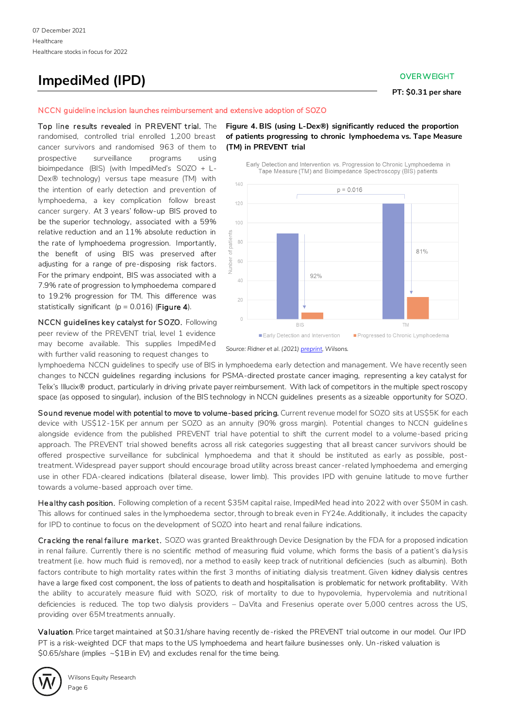## **ImpediMed (IPD) CONSUMER WEIGHT**

**PT: \$0.31 per share**

### NCCN guideline inclusion launches reimbursement and extensive adoption of SOZO

Top line results revealed in PREVENT trial. The randomised, controlled trial enrolled 1,200 breast cancer survivors and randomised 963 of them to prospective surveillance programs using bioimpedance (BIS) (with ImpediMed's SOZO + L-Dex® technology) versus tape measure (TM) with the intention of early detection and prevention of lymphoedema, a key complication follow breast cancer surgery. At 3 years' follow-up BIS proved to be the superior technology, associated with a 59% relative reduction and an 11% absolute reduction in the rate of lymphoedema progression. Importantly, the benefit of using BIS was preserved after adjusting for a range of pre-disposing risk factors. For the primary endpoint, BIS was associated with a 7.9% rate of progression to lymphoedema compared to 19.2% progression for TM. This difference was statistically significant ( $p = 0.016$ ) (Figure 4).

NCCN guidelines key catalyst for SOZO. Following peer review of the PREVENT trial, level 1 evidence may become available. This supplies ImpediMed with further valid reasoning to request changes to

**Figure 4. BIS (using L-Dex®) significantly reduced the proportion of patients progressing to chronic lymphoedema vs. Tape Measure (TM) in PREVENT trial** 

Early Detection and Intervention vs. Progression to Chronic Lymphoedema in



*Source: Ridner et al. (2021[\) preprint,](https://www.medrxiv.org/content/10.1101/2021.10.12.21264773v1) Wilsons.* 

lymphoedema NCCN guidelines to specify use of BIS in lymphoedema early detection and management. We have recently seen changes to NCCN guidelines regarding inclusions for PSMA-directed prostate cancer imaging, representing a key catalyst for Telix's Illucix® product, particularly in driving private payer reimbursement. With lack of competitors in the multiple spectroscopy space (as opposed to singular), inclusion of the BIS technology in NCCN guidelines presents as a sizeable opportunity for SOZO.

Sound revenue model with potential to move to volume-based pricing. Current revenue model for SOZO sits at US\$5K for each device with US\$12-15K per annum per SOZO as an annuity (90% gross margin). Potential changes to NCCN guidelines alongside evidence from the published PREVENT trial have potential to shift the current model to a volume-based pricing approach. The PREVENT trial showed benefits across all risk categories suggesting that all breast cancer survivors should be offered prospective surveillance for subclinical lymphoedema and that it should be instituted as early as possible, posttreatment. Widespread payer support should encourage broad utility across breast cancer -related lymphoedema and emerging use in other FDA-cleared indications (bilateral disease, lower limb). This provides IPD with genuine latitude to move further towards a volume-based approach over time.

Healthy cash position. Following completion of a recent \$35M capital raise, ImpediMed head into 2022 with over \$50M in cash. This allows for continued sales in the lymphoedema sector, through to break even in FY24e. Additionally, it includes the capacity for IPD to continue to focus on the development of SOZO into heart and renal failure indications.

Cracking the renal failure market. SOZO was granted Breakthrough Device Designation by the FDA for a proposed indication in renal failure. Currently there is no scientific method of measuring fluid volume, which forms the basis of a patient's dia lysis treatment (i.e. how much fluid is removed), nor a method to easily keep track of nutritional deficiencies (such as albumin). Both factors contribute to high mortality rates within the first 3 months of initiating dialysis treatment. Given kidney dialysis centres have a large fixed cost component, the loss of patients to death and hospitalisation is problematic for network profitability. With the ability to accurately measure fluid with SOZO, risk of mortality to due to hypovolemia, hypervolemia and nutritional deficiencies is reduced. The top two dialysis providers – DaVita and Fresenius operate over 5,000 centres across the US, providing over 65M treatments annually.

Valuation. Price target maintained at \$0.31/share having recently de-risked the PREVENT trial outcome in our model. Our IPD PT is a risk-weighted DCF that maps to the US lymphoedema and heart failure businesses only. Un-risked valuation is \$0.65/share (implies ~\$1B in EV) and excludes renal for the time being.

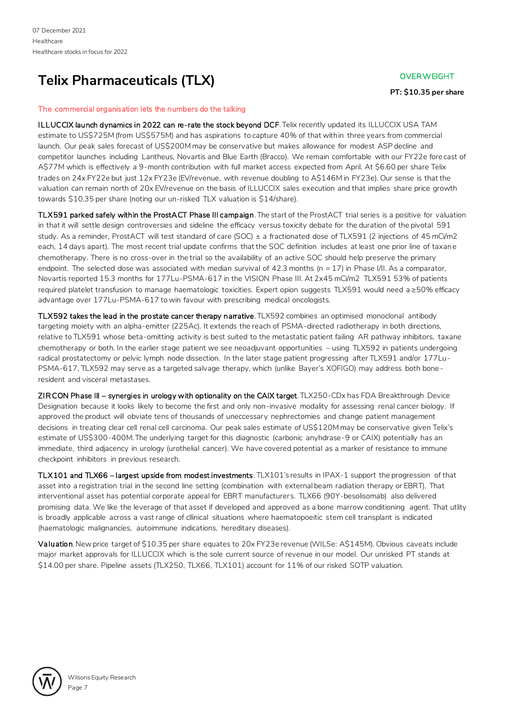## **Telix Pharmaceuticals (TLX) Telix Pharmaceuticals (TLX)**

**PT: \$10.35 per share**

## The commercial organisation lets the numbers do the talking

ILLUCCIX launch dynamics in 2022 can re-rate the stock beyond DCF. Telix recently updated its ILLUCCIX USA TAM estimate to US\$725M (from US\$575M) and has aspirations to capture 40% of that within three years from commercial launch. Our peak sales forecast of US\$200M may be conservative but makes allowance for modest ASP decline and competitor launches including Lantheus, Novartis and Blue Earth (Bracco). We remain comfortable with our FY22e fore cast of A\$77M which is effectively a 9-month contribution with full market access expected from April. At \$6.60 per share Telix trades on 24x FY22e but just 12x FY23e (EV/revenue, with revenue doubling to A\$146M in FY23e). Our sense is that the valuation can remain north of 20x EV/revenue on the basis of ILLUCCIX sales execution and that implies share price growth towards \$10.35 per share (noting our un-risked TLX valuation is \$14/share).

TLX591 parked safely within the ProstACT Phase III campaign. The start of the ProstACT trial series is a positive for valuation in that it will settle design controversies and sideline the efficacy versus toxicity debate for the duration of the pivotal 591 study. As a reminder, ProstACT will test standard of care (SOC) ± a fractionated dose of TLX591 (2 injections of 45 mCi/m2 each, 14 days apart). The most recent trial update confirms that the SOC definition includes at least one prior line of taxane chemotherapy. There is no cross-over in the trial so the availability of an active SOC should help preserve the primary endpoint. The selected dose was associated with median survival of 42.3 months ( $n = 17$ ) in Phase I/II. As a comparator, Novartis reported 15.3 months for 177Lu-PSMA-617 in the VISION Phase III. At 2x45 mCi/m2 TLX591 53% of patients required platelet transfusion to manage haematologic toxicities. Expert opion suggests TLX591 would need a ≥50% efficacy advantage over 177Lu-PSMA-617 to win favour with prescribing medical oncologists.

TLX592 takes the lead in the prostate cancer therapy narrative. TLX592 combines an optimised monoclonal antibody targeting moiety with an alpha-emitter (225Ac). It extends the reach of PSMA-directed radiotherapy in both directions, relative to TLX591 whose beta-omitting activity is best suited to the metastatic patient failing AR pathway inhibitors, taxane chemotherapy or both. In the earlier stage patient we see neoadjuvant opportunities – using TLX592 in patients undergoing radical prostatectomy or pelvic lymph node dissection. In the later stage patient progressing after TLX591 and/or 177Lu-PSMA-617, TLX592 may serve as a targeted salvage therapy, which (unlike Bayer's XOFIGO) may address both bone resident and visceral metastases.

ZIR CON Phase III – synergies in urology with optionality on the CAIX target. TLX250-CDx has FDA Breakthrough Device Designation because it looks likely to become the first and only non-invasive modality for assessing renal cancer biology. If approved the product will obviate tens of thousands of uneccessary nephrectomies and change patient management decisions in treating clear cell renal cell carcinoma. Our peak sales estimate of US\$120M may be conservative given Telix's estimate of US\$300-400M. The underlying target for this diagnostic (carbonic anyhdrase-9 or CAIX) potentially has an immediate, third adjacency in urology (urothelial cancer). We have covered potential as a marker of resistance to immune checkpoint inhibitors in previous research.

TLX101 and TLX66 – largest upside from modest investments. TLX101's results in IPAX-1 support the progression of that asset into a registration trial in the second line setting (combination with external beam radiation therapy or EBRT). That interventional asset has potential corporate appeal for EBRT manufacturers. TLX66 (90Y-besolisomab) also delivered promising data. We like the leverage of that asset if developed and approved as a bone marrow conditioning agent. That utlity is broadly applicable across a vast range of cllinical situations where haematopoeitic stem cell transplant is indicated (haematologic malignancies, autoimmune indications, hereditary diseases).

Valuation. New price target of \$10.35 per share equates to 20x FY23e revenue (WILSe: A\$145M). Obvious caveats include major market approvals for ILLUCCIX which is the sole current source of revenue in our model. Our unrisked PT stands at \$14.00 per share. Pipeline assets (TLX250, TLX66, TLX101) account for 11% of our risked SOTP valuation.

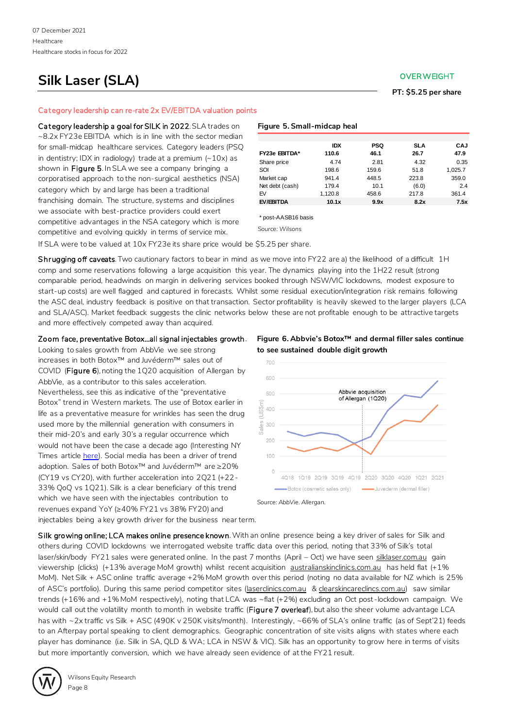## **Silk Laser (SLA) Silk Laser (SLA)**

**PT: \$5.25 per share**

### Cat egory leadership can re-rate 2x EV/EBITDA valuation points

Category leadership a goal for SILK in 2022. SLA trades on ~8.2x FY23e EBITDA which is in line with the sector median for small-midcap healthcare services. Category leaders (PSQ in dentistry; IDX in radiology) trade at a premium  $(-10x)$  as shown in Figure 5. In SLA we see a company bringing a corporatised approach to the non-surgical aesthetics (NSA) category which by and large has been a traditional franchising domain. The structure, systems and disciplines we associate with best-practice providers could exert competitive advantages in the NSA category which is more competitive and evolving quickly in terms of service mix.

## **Figure 5. Small-midcap heal**

|                 | <b>IDX</b> | PSQ   | <b>SLA</b> | CAJ     |
|-----------------|------------|-------|------------|---------|
| FY23e EBITDA*   | 110.6      | 46.1  | 26.7       | 47.9    |
| Share price     | 4.74       | 2.81  | 4.32       | 0.35    |
| SOI             | 198.6      | 159.6 | 51.8       | 1.025.7 |
| Market cap      | 941.4      | 448.5 | 223.8      | 359.0   |
| Net debt (cash) | 179.4      | 10.1  | (6.0)      | 2.4     |
| EV              | 1.120.8    | 458.6 | 217.8      | 361.4   |
| EV/EBITDA       | 10.1x      | 9.9x  | 8.2x       | 7.5x    |

\* post-AASB16 basis

*Source: Wilsons*

If SLA were to be valued at 10x FY23e its share price would be \$5.25 per share.

Shrugging off caveats. Two cautionary factors to bear in mind as we move into FY22 are a) the likelihood of a difficult 1H comp and some reservations following a large acquisition this year. The dynamics playing into the 1H22 result (strong comparable period, headwinds on margin in delivering services booked through NSW/VIC lockdowns, modest exposure to start-up costs) are well flagged and captured in forecasts. Whilst some residual execution/integration risk remains following the ASC deal, industry feedback is positive on that transaction. Sector profitability is heavily skewed to the larger players (LCA and SLA/ASC). Market feedback suggests the clinic networks below these are not profitable enough to be attractive targets and more effectively competed away than acquired.

Zoom face, preventative Botox…all signal injectables growth.

Looking to sales growth from AbbVie we see strong increases in both Botox™ and Juvéderm™ sales out of COVID (Figure 6), noting the 1Q20 acquisition of Allergan by AbbVie, as a contributor to this sales acceleration. Nevertheless, see this as indicative of the "preventative Botox" trend in Western markets. The use of Botox earlier in life as a preventative measure for wrinkles has seen the drug used more by the millennial generation with consumers in their mid-20's and early 30's a regular occurrence which would not have been the case a decade ago (Interesting NY Times article [here\)](https://www.nytimes.com/2021/04/08/style/self-care-how-barely-there-botox-became-the-norm.html). Social media has been a driver of trend adoption. Sales of both Botox™ and Juvéderm™ are ≥20% (CY19 vs CY20), with further acceleration into 2Q21 (+22- 33% QoQ vs 1Q21). Silk is a clear beneficiary of this trend which we have seen with the injectables contribution to revenues expand YoY (≥40% FY21 vs 38% FY20) and injectables being a key growth driver for the business near term.

**Figure 6. Abbvie's Botox™ and dermal filler sales continue to see sustained double digit growth**



Silk growing online; LCA makes online presence known. With an online presence being a key driver of sales for Silk and others during COVID lockdowns we interrogated website traffic data over this period, noting that 33% of Silk's total laser/skin/body FY21 sales were generated online. In the past 7 months (April - Oct) we have seen silklaser.com.au gain viewership (clicks) (+13% average MoM growth) whilst recent acquisition australianskinclinics.com.au has held flat (+1% MoM). Net Silk + ASC online traffic average +2% MoM growth over this period (noting no data available for NZ which is 25% of ASC's portfolio). During this same period competitor sites (laserclinics.com.au & clearskincareclincs.com.au) saw similar trends (+16% and +1% MoM respectively), noting that LCA was ~flat (+2%) excluding an Oct post -lockdown campaign. We would call out the volatility month to month in website traffic (Figure 7 overleaf), but also the sheer volume advantage LCA has with ~2x traffic vs Silk + ASC (490K v 250K visits/month). Interestingly, ~66% of SLA's online traffic (as of Sept'21) feeds to an Afterpay portal speaking to client demographics. Geographic concentration of site visits aligns with states where each player has dominance (i.e. Silk in SA, QLD & WA; LCA in NSW & VIC). Silk has an opportunity to grow here in terms of visits but more importantly conversion, which we have already seen evidence of at the FY21 result.

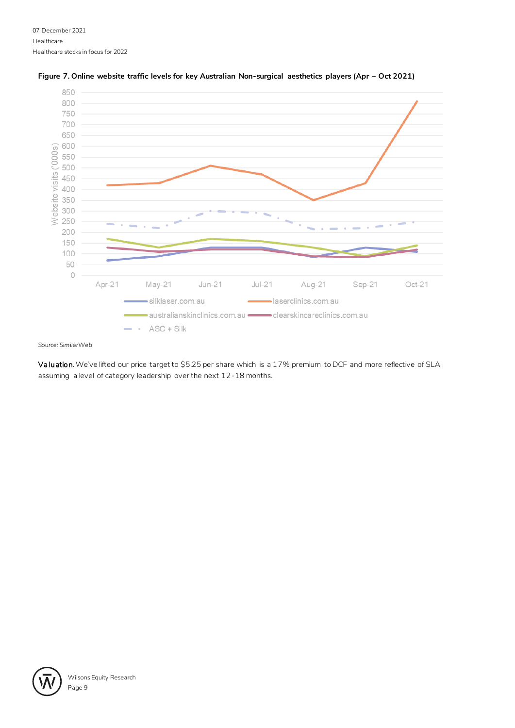

## Figure 7. Online website traffic levels for key Australian Non-surgical aesthetics players (Apr - Oct 2021)

## *Source: SimilarWeb*

Valuation. We've lifted our price target to \$5.25 per share which is a 17% premium to DCF and more reflective of SLA assuming a level of category leadership over the next 12-18 months.

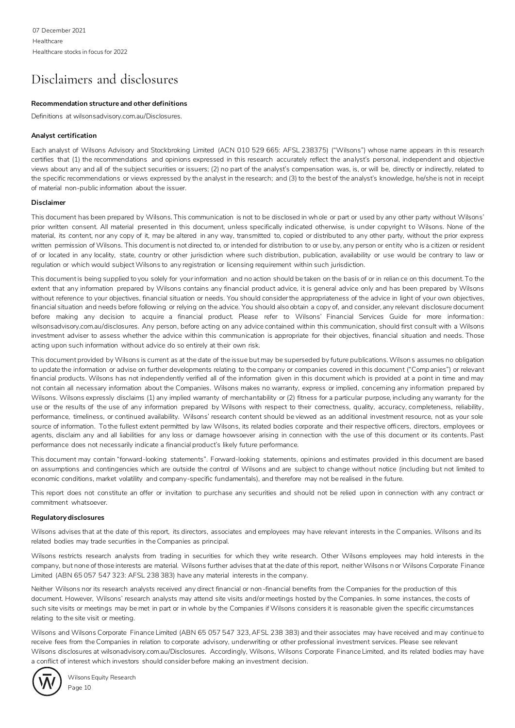## Disclaimers and disclosures

## **Recommendation structure and other definitions**

Definitions at wilsonsadvisory.com.au/Disclosures.

### **Analyst certification**

Each analyst of Wilsons Advisory and Stockbroking Limited (ACN 010 529 665: AFSL 238375) ("Wilsons") whose name appears in th is research certifies that (1) the recommendations and opinions expressed in this research accurately reflect the analyst's personal, independent and objective views about any and all of the subject securities or issuers; (2) no part of the analyst's compensation was, is, or will be, directly or indirectly, related to the specific recommendations or views expressed by the analyst in the research; and (3) to the best of the analyst's knowledge, he/she is not in receipt of material non-public information about the issuer.

### **Disclaimer**

This document has been prepared by Wilsons. This communication is not to be disclosed in whole or part or used by any other party without Wilsons' prior written consent. All material presented in this document, unless specifically indicated otherwise, is under copyright to Wilsons. None of the material, its content, nor any copy of it, may be altered in any way, transmitted to, copied or distributed to any other party, without the prior express written permission of Wilsons. This document is not directed to, or intended for distribution to or use by, any person or entity who is a citizen or resident of or located in any locality, state, country or other jurisdiction where such distribution, publication, availability or use would be contrary to law or regulation or which would subject Wilsons to any registration or licensing requirement within such jurisdiction.

This document is being supplied to you solely for your information and no action should be taken on the basis of or in relian ce on this document. To the extent that any information prepared by Wilsons contains any financial product advice, it is general advice only and has been prepared by Wilsons without reference to your objectives, financial situation or needs. You should consider the appropriateness of the advice in light of your own objectives, financial situation and needs before following or relying on the advice. You should also obtain a copy of, and consider, any relevant disclosure document before making any decision to acquire a financial product. Please refer to Wilsons' Financial Services Guide for more information: wilsonsadvisory.com.au/disclosures. Any person, before acting on any advice contained within this communication, should first consult with a Wilsons investment adviser to assess whether the advice within this communication is appropriate for their objectives, financial situation and needs. Those acting upon such information without advice do so entirely at their own risk.

This document provided by Wilsons is current as at the date of the issue but may be superseded by future publications. Wilson s assumes no obligation to update the information or advise on further developments relating to the company or companies covered in this document ("Comp anies") or relevant financial products. Wilsons has not independently verified all of the information given in this document which is provided at a point in time and may not contain all necessary information about the Companies. Wilsons makes no warranty, express or implied, concerning any information prepared by Wilsons. Wilsons expressly disclaims (1) any implied warranty of merchantability or (2) fitness for a particular purpose, including any warranty for the use or the results of the use of any information prepared by Wilsons with respect to their correctness, quality, accuracy, completeness, reliability, performance, timeliness, or continued availability. Wilsons' research content should be viewed as an additional investment resource, not as your sole source of information. To the fullest extent permitted by law Wilsons, its related bodies corporate and their respective officers, directors, employees or agents, disclaim any and all liabilities for any loss or damage howsoever arising in connection with the use of this document or its contents. Past performance does not necessarily indicate a financial product's likely future performance.

This document may contain "forward-looking statements". Forward-looking statements, opinions and estimates provided in this document are based on assumptions and contingencies which are outside the control of Wilsons and are subject to change without notice (including but not limited to economic conditions, market volatility and company-specific fundamentals), and therefore may not be realised in the future.

This report does not constitute an offer or invitation to purchase any securities and should not be relied upon in connection with any contract or commitment whatsoever.

### **Regulatory disclosures**

Wilsons advises that at the date of this report, its directors, associates and employees may have relevant interests in the Companies. Wilsons and its related bodies may trade securities in the Companies as principal.

Wilsons restricts research analysts from trading in securities for which they write research. Other Wilsons employees may hold interests in the company, but none of those interests are material. Wilsons further advises that at the date of this report, neither Wilsons n or Wilsons Corporate Finance Limited (ABN 65 057 547 323: AFSL 238 383) have any material interests in the company.

Neither Wilsons nor its research analysts received any direct financial or non-financial benefits from the Companies for the production of this document. However, Wilsons' research analysts may attend site visits and/or meetings hosted by the Companies. In some instances, the costs of such site visits or meetings may be met in part or in whole by the Companies if Wilsons considers it is reasonable given the specific circumstances relating to the site visit or meeting.

Wilsons and Wilsons Corporate Finance Limited (ABN 65 057 547 323, AFSL 238 383) and their associates may have received and may continue to receive fees from the Companies in relation to corporate advisory, underwriting or other professional investment services. Please see relevant Wilsons disclosures at wilsonadvisory.com.au/Disclosures. Accordingly, Wilsons, Wilsons Corporate Finance Limited, and its related bodies may have a conflict of interest which investors should consider before making an investment decision.